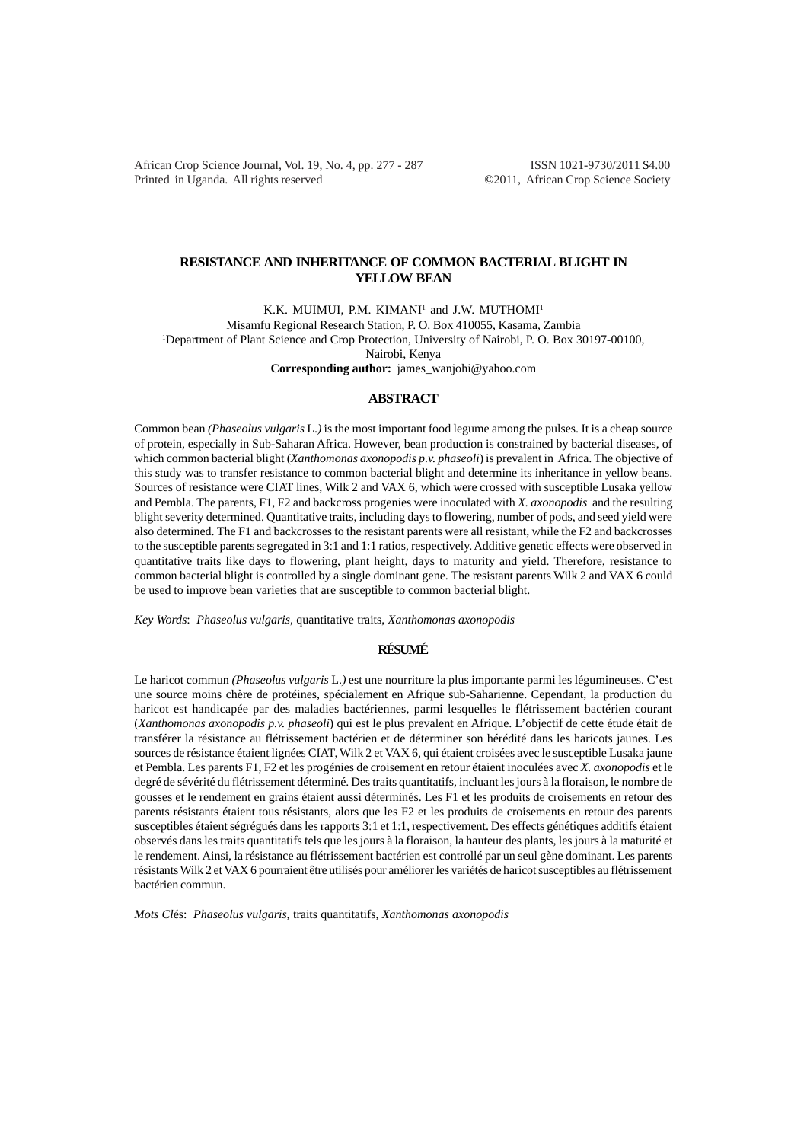African Crop Science Journal, Vol. 19, No. 4, pp. 277 - 287 ISSN 1021-9730/2011 \$4.00 Printed in Uganda. All rights reserved ©2011, African Crop Science Society

# **RESISTANCE AND INHERITANCE OF COMMON BACTERIAL BLIGHT IN YELLOW BEAN**

K.K. MUIMUI, P.M. KIMANI<sup>1</sup> and J.W. MUTHOMI<sup>1</sup>

Misamfu Regional Research Station, P. O. Box 410055, Kasama, Zambia

1 Department of Plant Science and Crop Protection, University of Nairobi, P. O. Box 30197-00100,

Nairobi, Kenya

**Corresponding author:** james\_wanjohi@yahoo.com

### **ABSTRACT**

Common bean *(Phaseolus vulgaris* L.*)* is the most important food legume among the pulses. It is a cheap source of protein, especially in Sub-Saharan Africa. However, bean production is constrained by bacterial diseases, of which common bacterial blight (*Xanthomonas axonopodis p.v. phaseoli*) is prevalent in Africa. The objective of this study was to transfer resistance to common bacterial blight and determine its inheritance in yellow beans. Sources of resistance were CIAT lines, Wilk 2 and VAX 6, which were crossed with susceptible Lusaka yellow and Pembla. The parents, F1, F2 and backcross progenies were inoculated with *X. axonopodis* and the resulting blight severity determined. Quantitative traits, including days to flowering, number of pods, and seed yield were also determined. The F1 and backcrosses to the resistant parents were all resistant, while the F2 and backcrosses to the susceptible parents segregated in 3:1 and 1:1 ratios, respectively. Additive genetic effects were observed in quantitative traits like days to flowering, plant height, days to maturity and yield. Therefore, resistance to common bacterial blight is controlled by a single dominant gene. The resistant parents Wilk 2 and VAX 6 could be used to improve bean varieties that are susceptible to common bacterial blight.

*Key Words*: *Phaseolus vulgaris,* quantitative traits, *Xanthomonas axonopodis*

# **RÉSUMÉ**

Le haricot commun *(Phaseolus vulgaris* L.*)* est une nourriture la plus importante parmi les légumineuses. C'est une source moins chère de protéines, spécialement en Afrique sub-Saharienne. Cependant, la production du haricot est handicapée par des maladies bactériennes, parmi lesquelles le flétrissement bactérien courant (*Xanthomonas axonopodis p.v. phaseoli*) qui est le plus prevalent en Afrique. L'objectif de cette étude était de transférer la résistance au flétrissement bactérien et de déterminer son hérédité dans les haricots jaunes. Les sources de résistance étaient lignées CIAT, Wilk 2 et VAX 6, qui étaient croisées avec le susceptible Lusaka jaune et Pembla. Les parents F1, F2 et les progénies de croisement en retour étaient inoculées avec *X. axonopodis* et le degré de sévérité du flétrissement déterminé. Des traits quantitatifs, incluant les jours à la floraison, le nombre de gousses et le rendement en grains étaient aussi déterminés. Les F1 et les produits de croisements en retour des parents résistants étaient tous résistants, alors que les F2 et les produits de croisements en retour des parents susceptibles étaient ségrégués dans les rapports 3:1 et 1:1, respectivement. Des effects génétiques additifs étaient observés dans les traits quantitatifs tels que les jours à la floraison, la hauteur des plants, les jours à la maturité et le rendement. Ainsi, la résistance au flétrissement bactérien est controllé par un seul gène dominant. Les parents résistants Wilk 2 et VAX 6 pourraient être utilisés pour améliorer les variétés de haricot susceptibles au flétrissement bactérien commun.

*Mots Cl*és: *Phaseolus vulgaris,* traits quantitatifs, *Xanthomonas axonopodis*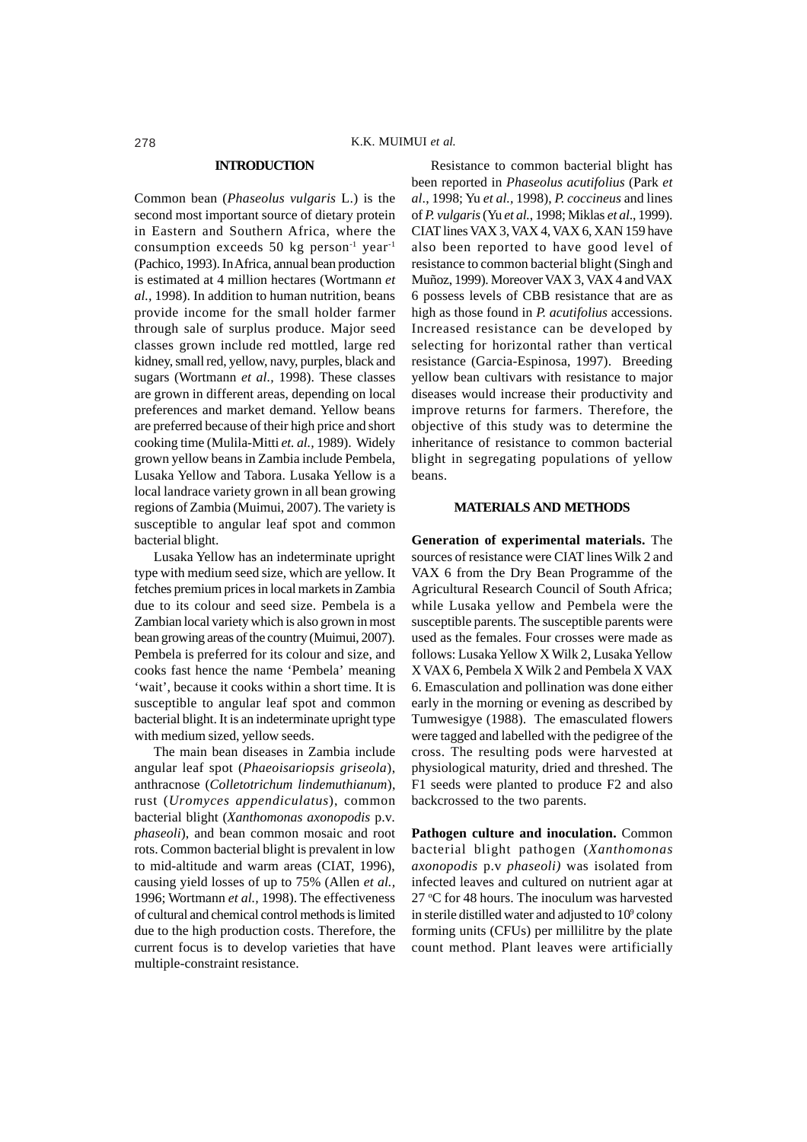#### **INTRODUCTION**

Common bean (*Phaseolus vulgaris* L.) is the second most important source of dietary protein in Eastern and Southern Africa, where the consumption exceeds 50 kg person $<sup>1</sup>$  year<sup>-1</sup></sup> (Pachico, 1993). In Africa, annual bean production is estimated at 4 million hectares (Wortmann *et al.,* 1998). In addition to human nutrition, beans provide income for the small holder farmer through sale of surplus produce. Major seed classes grown include red mottled, large red kidney, small red, yellow, navy, purples, black and sugars (Wortmann *et al.,* 1998). These classes are grown in different areas, depending on local preferences and market demand. Yellow beans are preferred because of their high price and short cooking time (Mulila-Mitti *et. al.,* 1989). Widely grown yellow beans in Zambia include Pembela, Lusaka Yellow and Tabora. Lusaka Yellow is a local landrace variety grown in all bean growing regions of Zambia (Muimui, 2007). The variety is susceptible to angular leaf spot and common bacterial blight.

Lusaka Yellow has an indeterminate upright type with medium seed size, which are yellow. It fetches premium prices in local markets in Zambia due to its colour and seed size. Pembela is a Zambian local variety which is also grown in most bean growing areas of the country (Muimui, 2007). Pembela is preferred for its colour and size, and cooks fast hence the name 'Pembela' meaning 'wait', because it cooks within a short time. It is susceptible to angular leaf spot and common bacterial blight. It is an indeterminate upright type with medium sized, yellow seeds.

The main bean diseases in Zambia include angular leaf spot (*Phaeoisariopsis griseola*), anthracnose (*Colletotrichum lindemuthianum*), rust (*Uromyces appendiculatus*), common bacterial blight (*Xanthomonas axonopodis* p.v*. phaseoli*), and bean common mosaic and root rots. Common bacterial blight is prevalent in low to mid-altitude and warm areas (CIAT, 1996), causing yield losses of up to 75% (Allen *et al.,* 1996; Wortmann *et al.,* 1998). The effectiveness of cultural and chemical control methods is limited due to the high production costs. Therefore, the current focus is to develop varieties that have multiple-constraint resistance.

Resistance to common bacterial blight has been reported in *Phaseolus acutifolius* (Park *et al*., 1998; Yu *et al.,* 1998), *P. coccineus* and lines of *P. vulgaris* (Yu *et al.*, 1998; Miklas *et al*., 1999). CIAT lines VAX 3, VAX 4, VAX 6, XAN 159 have also been reported to have good level of resistance to common bacterial blight (Singh and Muñoz, 1999). Moreover VAX 3, VAX 4 and VAX 6 possess levels of CBB resistance that are as high as those found in *P. acutifolius* accessions. Increased resistance can be developed by selecting for horizontal rather than vertical resistance (Garcia-Espinosa, 1997). Breeding yellow bean cultivars with resistance to major diseases would increase their productivity and improve returns for farmers. Therefore, the objective of this study was to determine the inheritance of resistance to common bacterial blight in segregating populations of yellow beans.

### **MATERIALS AND METHODS**

**Generation of experimental materials.** The sources of resistance were CIAT lines Wilk 2 and VAX 6 from the Dry Bean Programme of the Agricultural Research Council of South Africa; while Lusaka yellow and Pembela were the susceptible parents. The susceptible parents were used as the females. Four crosses were made as follows: Lusaka Yellow X Wilk 2, Lusaka Yellow X VAX 6, Pembela X Wilk 2 and Pembela X VAX 6. Emasculation and pollination was done either early in the morning or evening as described by Tumwesigye (1988). The emasculated flowers were tagged and labelled with the pedigree of the cross. The resulting pods were harvested at physiological maturity, dried and threshed. The F1 seeds were planted to produce F2 and also backcrossed to the two parents.

**Pathogen culture and inoculation.** Common bacterial blight pathogen (*Xanthomonas axonopodis* p.v *phaseoli)* was isolated from infected leaves and cultured on nutrient agar at 27 °C for 48 hours. The inoculum was harvested in sterile distilled water and adjusted to  $10^9$  colony forming units (CFUs) per millilitre by the plate count method. Plant leaves were artificially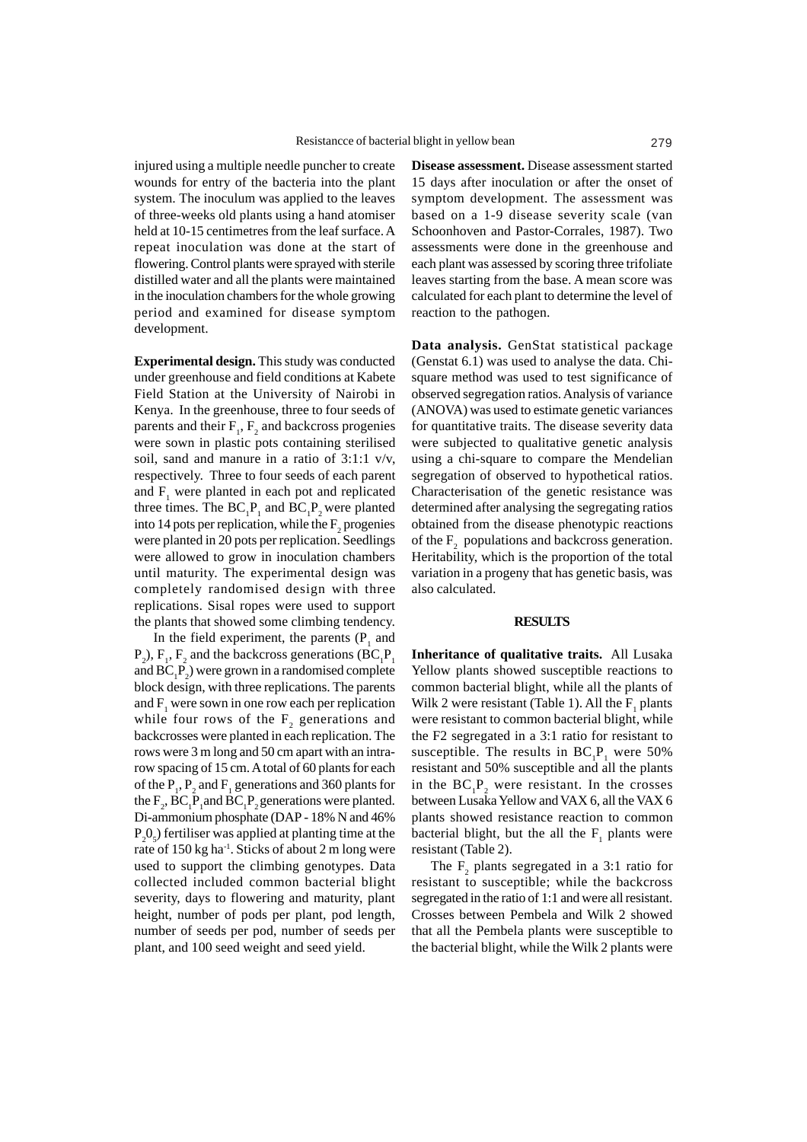injured using a multiple needle puncher to create wounds for entry of the bacteria into the plant system. The inoculum was applied to the leaves of three-weeks old plants using a hand atomiser held at 10-15 centimetres from the leaf surface. A repeat inoculation was done at the start of flowering. Control plants were sprayed with sterile distilled water and all the plants were maintained in the inoculation chambers for the whole growing period and examined for disease symptom development.

**Experimental design.** This study was conducted under greenhouse and field conditions at Kabete Field Station at the University of Nairobi in Kenya. In the greenhouse, three to four seeds of parents and their  $F_1, F_2$  and backcross progenies were sown in plastic pots containing sterilised soil, sand and manure in a ratio of 3:1:1 v/v, respectively. Three to four seeds of each parent and  $F_1$  were planted in each pot and replicated three times. The  $BC_1P_1$  and  $BC_1P_2$  were planted into 14 pots per replication, while the  $F_2$  progenies were planted in 20 pots per replication. Seedlings were allowed to grow in inoculation chambers until maturity. The experimental design was completely randomised design with three replications. Sisal ropes were used to support the plants that showed some climbing tendency.

In the field experiment, the parents  $(P_1$  and  $P_2$ ),  $F_1$ ,  $F_2$  and the backcross generations (BC<sub>1</sub>P<sub>1</sub>) and  $BC_1P_2$ ) were grown in a randomised complete block design, with three replications. The parents and  $F_1$  were sown in one row each per replication while four rows of the  $F_2$  generations and backcrosses were planted in each replication. The rows were 3 m long and 50 cm apart with an intrarow spacing of 15 cm. A total of 60 plants for each of the  $P_1$ ,  $P_2$  and  $F_1$  generations and 360 plants for the  $F_2$ ,  $BC_1P_1$  and  $BC_1P_2$  generations were planted. Di-ammonium phosphate (DAP - 18% N and 46%  $P_2O_5$ ) fertiliser was applied at planting time at the rate of 150 kg ha-1. Sticks of about 2 m long were used to support the climbing genotypes. Data collected included common bacterial blight severity, days to flowering and maturity, plant height, number of pods per plant, pod length, number of seeds per pod, number of seeds per plant, and 100 seed weight and seed yield.

**Disease assessment.** Disease assessment started 15 days after inoculation or after the onset of symptom development. The assessment was based on a 1-9 disease severity scale (van Schoonhoven and Pastor-Corrales, 1987). Two assessments were done in the greenhouse and each plant was assessed by scoring three trifoliate leaves starting from the base. A mean score was calculated for each plant to determine the level of reaction to the pathogen.

**Data analysis.** GenStat statistical package (Genstat 6.1) was used to analyse the data. Chisquare method was used to test significance of observed segregation ratios. Analysis of variance (ANOVA) was used to estimate genetic variances for quantitative traits. The disease severity data were subjected to qualitative genetic analysis using a chi-square to compare the Mendelian segregation of observed to hypothetical ratios. Characterisation of the genetic resistance was determined after analysing the segregating ratios obtained from the disease phenotypic reactions of the  $F_2$  populations and backcross generation. Heritability, which is the proportion of the total variation in a progeny that has genetic basis, was also calculated.

#### **RESULTS**

**Inheritance of qualitative traits.** All Lusaka Yellow plants showed susceptible reactions to common bacterial blight, while all the plants of Wilk 2 were resistant (Table 1). All the  $F_1$  plants were resistant to common bacterial blight, while the F2 segregated in a 3:1 ratio for resistant to susceptible. The results in  $BC_1P_1$  were 50% resistant and 50% susceptible and all the plants in the  $BC_1P_2$  were resistant. In the crosses between Lusaka Yellow and VAX 6, all the VAX 6 plants showed resistance reaction to common bacterial blight, but the all the  $F_1$  plants were resistant (Table 2).

The  $F_2$  plants segregated in a 3:1 ratio for resistant to susceptible; while the backcross segregated in the ratio of 1:1 and were all resistant. Crosses between Pembela and Wilk 2 showed that all the Pembela plants were susceptible to the bacterial blight, while the Wilk 2 plants were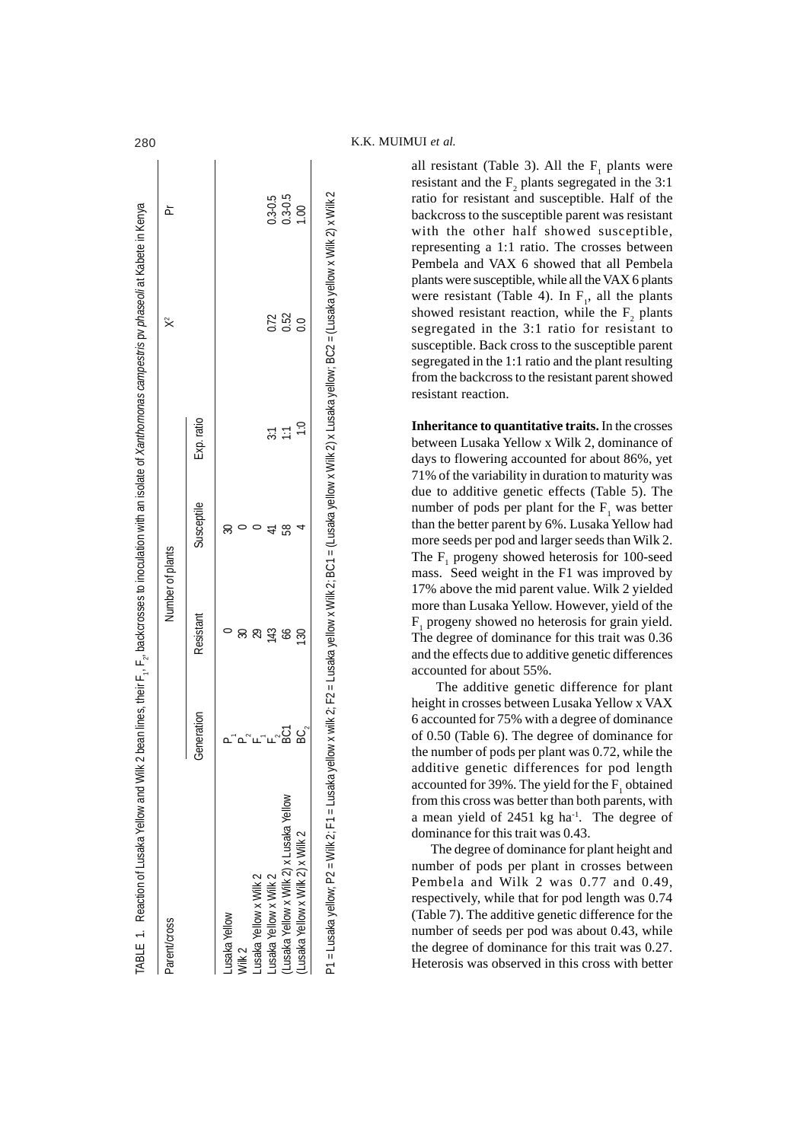| TABLE 1. Reaction of Lusaka Yellow and Wilk 2 be:                                                                             |                                                                |                                                                       |                                                                         |                                              | an lines, their F., F., backcrosses to inoculation with an isolate of Xanthomonas campestris pv phaseoli at Kabete in Kenya  |                                                                       | 280                |
|-------------------------------------------------------------------------------------------------------------------------------|----------------------------------------------------------------|-----------------------------------------------------------------------|-------------------------------------------------------------------------|----------------------------------------------|------------------------------------------------------------------------------------------------------------------------------|-----------------------------------------------------------------------|--------------------|
| Parent/cross                                                                                                                  |                                                                | Number of plants                                                      |                                                                         |                                              | $\approx$                                                                                                                    | č                                                                     |                    |
|                                                                                                                               | neration<br>Gen                                                | Resistant                                                             | Susceptile                                                              | Exp. ratio                                   |                                                                                                                              |                                                                       |                    |
| Lusaka Yellow                                                                                                                 |                                                                |                                                                       | B                                                                       |                                              |                                                                                                                              |                                                                       |                    |
| Wilk 2                                                                                                                        | ௳ஂ௳ஂ                                                           |                                                                       |                                                                         |                                              |                                                                                                                              |                                                                       |                    |
| usaka Yellow x Wilk 2                                                                                                         |                                                                |                                                                       |                                                                         |                                              |                                                                                                                              |                                                                       |                    |
|                                                                                                                               |                                                                |                                                                       |                                                                         |                                              |                                                                                                                              |                                                                       |                    |
| Lusaka Yellow x Wilk 2<br>(Lusaka Yellow x Wilk 2) x Lusaka Yellow                                                            | .~ 2<br>ອ                                                      | ុនខ្លួង ខេត                                                           | 58                                                                      | $\frac{11}{12}$                              | 0.52<br>0.52<br>0.0                                                                                                          | $0.3 - 0.5$<br>$0.3 - 0.5$                                            |                    |
| (Lusaka Yellow x Wilk 2) x Wilk 2                                                                                             | BC,                                                            |                                                                       |                                                                         | $\frac{1}{2}$                                |                                                                                                                              | 100                                                                   |                    |
| P1 = Lusaka yellow; P2 = Wilk 2; F1 = Lusaka yellow                                                                           |                                                                |                                                                       |                                                                         |                                              | x wilk 2: F2 = Lusaka yellow x Wilk 2: BC1 = (Lusaka yellow x Wilk 2) x Lusaka yellow; BC2 = (Lusaka yellow x Wilk 2) x Wilk |                                                                       |                    |
|                                                                                                                               |                                                                |                                                                       |                                                                         |                                              |                                                                                                                              |                                                                       |                    |
|                                                                                                                               |                                                                |                                                                       |                                                                         |                                              |                                                                                                                              |                                                                       |                    |
|                                                                                                                               |                                                                |                                                                       |                                                                         |                                              |                                                                                                                              |                                                                       |                    |
| account<br>from thi<br>a mean<br>dominar<br>The<br>number<br>Pembel<br>respecti<br>(Table 7<br>number<br>the degr<br>Heterosi | The<br>height in<br>6 accour<br>of 0.50<br>the num<br>additive | 17% abo<br>more tha<br>$F_1$ proge<br>The deg<br>and the e<br>account | due to a<br>number<br>than the<br>more see<br>The $F_1$ 1<br>S<br>mass. | Inherita<br>between<br>days to :<br>71% of t | Pembela<br>plants w<br>were re<br>showed<br>segrega<br>suscepti<br>segregat<br>from the<br>resistant                         | all resis<br>resistant<br>ratio for<br>backcro<br>with th<br>represer | K.K. MUIMUI et al. |

all resistant (Table 3). All the  $F_1$  plants were resistant and the  $F_2$  plants segregated in the 3:1 ratio for resistant and susceptible. Half of the backcross to the susceptible parent was resistant with the other half showed susceptible, representing a 1:1 ratio. The crosses between Pembela and VAX 6 showed that all Pembela plants were susceptible, while all the VAX 6 plants were resistant (Table 4). In  $F_1$ , all the plants showed resistant reaction, while the  $F_2$  plants segregated in the 3:1 ratio for resistant to susceptible. Back cross to the susceptible parent segregated in the 1:1 ratio and the plant resulting from the backcross to the resistant parent showed resistant reaction.

**Inheritance to quantitative traits.** In the crosses between Lusaka Yellow x Wilk 2, dominance of days to flowering accounted for about 86%, yet 71% of the variability in duration to maturity was due to additive genetic effects (Table 5). The number of pods per plant for the  $F_1$  was better than the better parent by 6%. Lusaka Yellow had more seeds per pod and larger seeds than Wilk 2. The  $F_1$  progeny showed heterosis for 100-seed mass. Seed weight in the F1 was improved by 17% above the mid parent value. Wilk 2 yielded more than Lusaka Yellow. However, yield of the  $F_1$  progeny showed no heterosis for grain yield. The degree of dominance for this trait was 0.36 and the effects due to additive genetic differences accounted for about 55%.

The additive genetic difference for plant height in crosses between Lusaka Yellow x VAX 6 accounted for 75% with a degree of dominance of 0.50 (Table 6). The degree of dominance for the number of pods per plant was 0.72, while the additive genetic differences for pod length accounted for 39%. The yield for the  $F_1$  obtained from this cross was better than both parents, with a mean yield of 2451 kg ha<sup>-1</sup>. The degree of dominance for this trait was 0.43.

The degree of dominance for plant height and number of pods per plant in crosses between Pembela and Wilk 2 was 0.77 and 0.49, respectively, while that for pod length was 0.74 (Table 7). The additive genetic difference for the number of seeds per pod was about 0.43, while the degree of dominance for this trait was 0.27. Heterosis was observed in this cross with better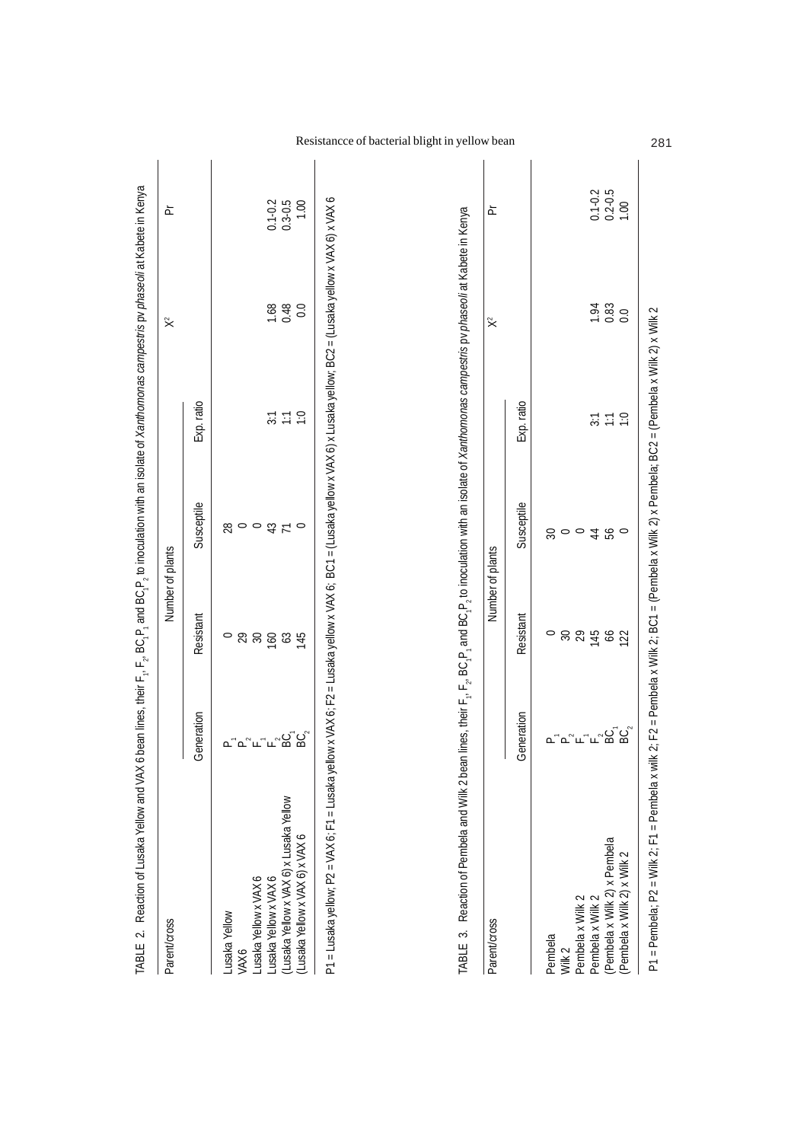|                                        |                           | Resistant        | Susceptile                    | Exp. ratio                      |                                                    |                                                               |
|----------------------------------------|---------------------------|------------------|-------------------------------|---------------------------------|----------------------------------------------------|---------------------------------------------------------------|
|                                        | Generation                |                  |                               |                                 |                                                    |                                                               |
| Lusaka Yellow<br>VAX6                  | <sub>உ</sub><br>சுடாட் மா | $\circ$          | 28                            |                                 |                                                    |                                                               |
| usaka Yellow x VAX 6                   |                           |                  | $\circ$ $\circ$ $\frac{3}{4}$ |                                 |                                                    |                                                               |
| Lusaka Yellow x VAX 6                  |                           |                  |                               |                                 |                                                    |                                                               |
| Lusaka Yellow x VAX 6) x Lusaka Yellow |                           | 2880             | $\overline{7}$                | $\frac{11}{25}$ 7.1             | $1.68$<br>0.48                                     | $0.1 - 0.2$<br>$0.3 - 0.5$                                    |
| Lusaka Yellow x VAX 6) x VAX 6         |                           | 145              | $\circ$                       |                                 | 0.0                                                | 1.00                                                          |
| Parent/cross                           |                           | Number of plants |                               |                                 | $\approx$                                          | č                                                             |
|                                        | ieneration                | Resistant        | Susceptile                    | Exp. ratio                      |                                                    |                                                               |
| Pembela                                |                           | $\circ$          |                               |                                 |                                                    |                                                               |
| Wilk 2                                 | உ<br>உடிய கிக்            |                  | 800480                        |                                 |                                                    |                                                               |
| Pembela x Wilk 2                       |                           | $\frac{8}{2}$    |                               |                                 |                                                    |                                                               |
| Pembela x Wilk 2                       |                           |                  |                               |                                 |                                                    |                                                               |
| (Pembela x Wilk 2) x Pembela           |                           | 145<br>66        |                               | $\frac{11}{22}$ $\frac{11}{22}$ | $\begin{array}{c} 1.94 \\ 0.83 \\ 0.0 \end{array}$ | $\begin{array}{c} 0.1 - 0.2 \\ 0.2 - 0.5 \\ 1.00 \end{array}$ |
| (Pembela x Wilk 2) x Wilk 2            |                           | 22               |                               |                                 |                                                    |                                                               |

Resistance of bacterial blight in yellow bean 281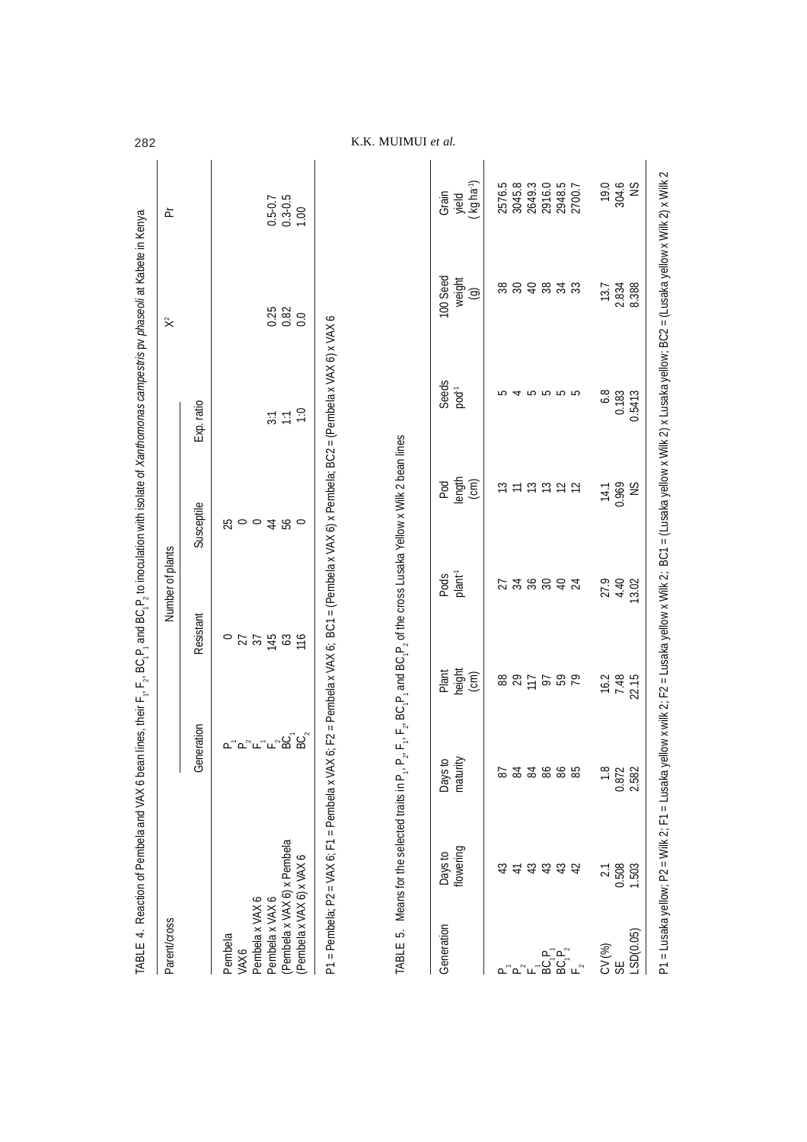|                                                                                                 |                            | Generation          | Resistant               |                             | Susceptile            | Exp. ratio                                    |                                                       |                                                |
|-------------------------------------------------------------------------------------------------|----------------------------|---------------------|-------------------------|-----------------------------|-----------------------|-----------------------------------------------|-------------------------------------------------------|------------------------------------------------|
|                                                                                                 |                            |                     |                         |                             |                       |                                               |                                                       |                                                |
| Pembela                                                                                         |                            |                     |                         |                             |                       |                                               |                                                       |                                                |
| VAX6                                                                                            |                            | உ<br>உடிய மி<br>உ   | $-25.58$                |                             | 2500                  |                                               |                                                       |                                                |
| Pembela x VAX 6                                                                                 |                            |                     |                         |                             |                       |                                               |                                                       |                                                |
| Pembela x VAX 6                                                                                 |                            |                     |                         |                             |                       |                                               |                                                       |                                                |
|                                                                                                 | Pembela x VAX 6) x Pembela |                     |                         |                             | 480                   | $\frac{1}{6}$ : $\frac{1}{6}$ : $\frac{1}{6}$ | 0.82<br>0.82<br>0.0                                   | $0.5 - 0.7$<br>0.3-0.5                         |
| (Pembela x VAX 6) x VAX 6                                                                       |                            |                     | 116                     |                             |                       |                                               |                                                       | 1.00                                           |
| Generation                                                                                      | flowering<br>Days to       | Days to<br>maturity | Plant<br>height<br>(cm) | Pods<br>plant <sup>-1</sup> | Pod<br>length<br>(cm) | Seeds<br>pod <sup>-1</sup>                    | 100 Seed<br>weight<br>$\widehat{\mathbf{e}}$          | (kg ha <sup>-1</sup> )<br>Grain<br>yield       |
|                                                                                                 |                            |                     |                         |                             |                       |                                               |                                                       |                                                |
|                                                                                                 | 43                         |                     |                         |                             |                       | 5                                             |                                                       |                                                |
|                                                                                                 | $\pm$                      |                     |                         |                             |                       |                                               |                                                       |                                                |
| $\Delta^{\!\!\!\!\!\!\sim} \Delta^{\!\!\!\!\!\sim} \Delta^{\!\!\!\!\sim} \Delta^{\!\!\!\!\sim}$ | 43                         |                     |                         |                             |                       |                                               |                                                       |                                                |
|                                                                                                 | 43                         |                     |                         |                             |                       |                                               |                                                       |                                                |
|                                                                                                 | 43                         | 65 26 26 26         | $8875588$               | 238842                      | 121122                | 4 10 10 10 10                                 | <b>888838</b>                                         |                                                |
| டிர்<br>மி<br>மி<br>மி<br>மி                                                                    | 42                         |                     |                         |                             |                       |                                               |                                                       | 2576.5<br>3045.8<br>2649.3<br>2916.0<br>2948.5 |
|                                                                                                 | $\overline{21}$            | $\frac{8}{10}$      |                         |                             |                       | 6.8                                           |                                                       |                                                |
| CV (%)<br>S또                                                                                    | 0.508                      | 0.872               |                         |                             |                       | 0.183                                         |                                                       |                                                |
| LSD(0.05)                                                                                       | 1.503                      | 2.582               | $\frac{16.2}{7.48}$     | 27.9<br>4.40<br>13.02       | 14.1<br>0.969<br>NS   | 0.5413                                        | $\begin{array}{c} 13.7 \\ 2.834 \\ 8.388 \end{array}$ | 19.0<br>304.6<br>NS                            |

282 K.K. MUIMUI *et al.*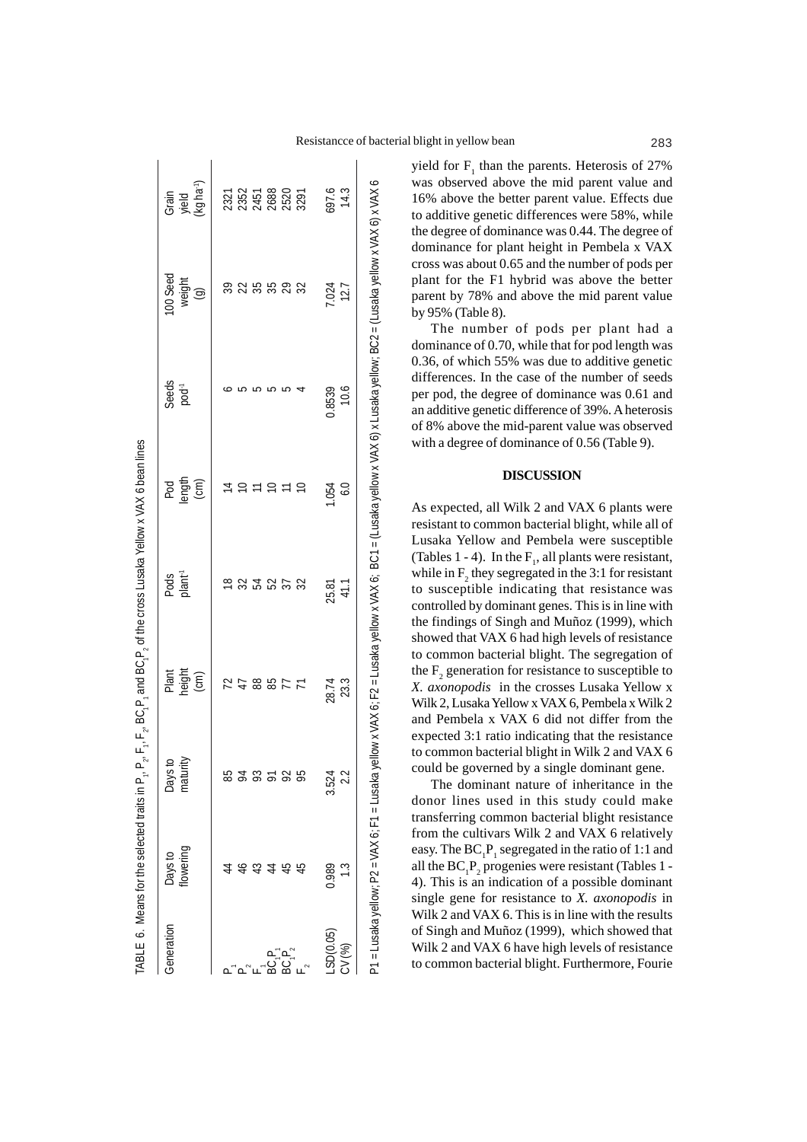kg ha<sup>-1</sup>) o kWW. P2 = VAX 6; F1 = Lusaka yellow x VAX 6; F2 = Lusaka yellow x VAX 6; BC1 = (Lusaka yellow x VAX 6) x Lusaka yellow; BC2 = (Lusaka yellow x VAX 6) x VAX 6 P1 = Lusaka yellow; P2 = VAX 6; F1 = Lusaka yellow x VAX 6; F2 = Lusaka yellow x VAX 6; BC1 = (Lusaka yellow x VAX 6) x Lusaka yellow; BC2 = (Lusaka yellow x VAX 6) x VAX 6 (cm) (cm) (g) (kg ha-1) 697.6 Grain<br>vield 2321<br>2352<br>2451<br>2688 5 22 2352 35 2688 29 2520 9.05) 0.989.00 0.989 3.525 4.7.924 25.91 25.91 25.91 25.91 25.91 25.91 25.91 25.91 25.91 25.91 25.91 25.91 25 14.3 CV (%)  $(2.2)$  2.3.3 41.1 4.3  $(2.3)$  4.3  $(3.3)$ 2520<br>3291 luel'0 DaySea SpeaS SpeaS Days to Days to Days to DaySea Grain DaySea Grains and DaySea Grains of Seeds 100 Se 39 2321 35 2451 32 3291 plant, the maturity height plant-1 length pod-1 weight yield plant-1 weight yield plant-1 weight yield political pod-00 Seed weight 828882 7.024<br>12.7  $\widehat{\sigma}$ Seeds<br>pod<sup>-1</sup>  $\circ$ د د  $\overline{5}$ صا  $\overline{ }$ 0.8539 10.6 Pod<br>ength 1.054  $\widehat{cm}$ P<sub>2</sub> 46 46 47 32 94  $\frac{1}{2}$  $\subseteq$  1 44 91 85 52 10 F<sub>2</sub> 45 95 71 32 10 10 P<sub>1</sub> 44 85 72 18 18 14  $=$   $=$  $6.0$ F<sub>1</sub> 43 93 88 54 54  $2$  45 45 92 77 37 Pods<br>plant<sup>-1</sup> 25.81 18 24 25 25 41.1 Plant<br>reight  $\widehat{C}$ 28.74 23.3 **22588** Days to maturity 3.524  $\frac{2}{5}$  $25$ lowering Days to 0.989  $45$ Generation  $-SD(0.05)$ CV (%) e<br>SC<br>BC<br>BC

TABLE 6. Means for the selected traits in P<sub>1</sub>, P<sub>2</sub>, F<sub>1</sub>, F<sub>2</sub>, BC

 $P_1$  and BC<sub>1</sub>P

 $_1$ P $_2$  of the cross Lusaka Yellow x VAX 6 bean lines

yield for  $F_1$  than the parents. Heterosis of 27% was observed above the mid parent value and 16% above the better parent value. Effects due to additive genetic differences were 58%, while the degree of dominance was 0.44. The degree of dominance for plant height in Pembela x VAX cross was about 0.65 and the number of pods per plant for the F1 hybrid was above the better parent by 78% and above the mid parent value by 95% (Table 8).

The number of pods per plant had a dominance of 0.70, while that for pod length was 0.36, of which 55% was due to additive genetic differences. In the case of the number of seeds per pod, the degree of dominance was 0.61 and an additive genetic difference of 39%. A heterosis of 8% above the mid-parent value was observed with a degree of dominance of 0.56 (Table 9).

### **DISCUSSION**

As expected, all Wilk 2 and VAX 6 plants were resistant to common bacterial blight, while all of Lusaka Yellow and Pembela were susceptible (Tables 1 - 4). In the  $F_1$ , all plants were resistant, while in  $F_2$  they segregated in the 3:1 for resistant to susceptible indicating that resistance was controlled by dominant genes. This is in line with the findings of Singh and Muñoz (1999), which showed that VAX 6 had high levels of resistance to common bacterial blight. The segregation of the  $F_2$  generation for resistance to susceptible to *X. axonopodis* in the crosses Lusaka Yellow x Wilk 2, Lusaka Yellow x VAX 6, Pembela x Wilk 2 and Pembela x VAX 6 did not differ from the expected 3:1 ratio indicating that the resistance to common bacterial blight in Wilk 2 and VAX 6 could be governed by a single dominant gene.

The dominant nature of inheritance in the donor lines used in this study could make transferring common bacterial blight resistance from the cultivars Wilk 2 and VAX 6 relatively easy. The  $BC_1P_1$  segregated in the ratio of 1:1 and all the  $BC_1P_2$  progenies were resistant (Tables 1 -4). This is an indication of a possible dominant single gene for resistance to *X. axonopodis* in Wilk 2 and VAX 6. This is in line with the results of Singh and Muñoz (1999), which showed that Wilk 2 and VAX 6 have high levels of resistance to common bacterial blight. Furthermore, Fourie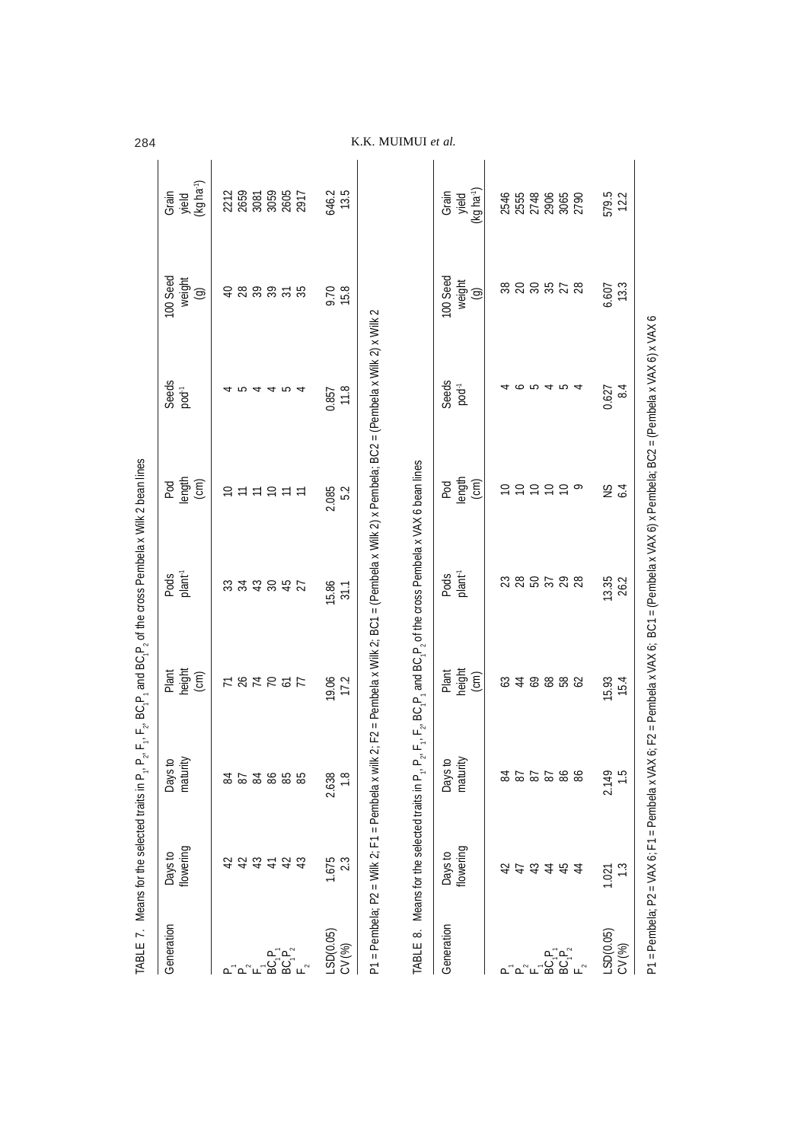|                                                                                                                                                                                                                                |                                  |                        | TABLE 7. Means for the selected traits in P <sub>1</sub> , P <sub>2</sub> , F <sub>1</sub> , F <sub>2</sub> , BC <sub>1</sub> P <sub>1</sub> and BC <sub>1</sub> P <sub>2</sub> of the cross Pembela x Wilk 2 bean lines                           |                             |                               |                            |                                      |                                          | 284                |
|--------------------------------------------------------------------------------------------------------------------------------------------------------------------------------------------------------------------------------|----------------------------------|------------------------|----------------------------------------------------------------------------------------------------------------------------------------------------------------------------------------------------------------------------------------------------|-----------------------------|-------------------------------|----------------------------|--------------------------------------|------------------------------------------|--------------------|
| Generation                                                                                                                                                                                                                     | Days to<br>flowering             | maturity<br>Days to    | Plant<br>height<br>(cm)                                                                                                                                                                                                                            | Pods<br>plant <sup>-1</sup> | Pod<br>length<br>(cm)         | Seeds<br>$pod-1$           | 100 Seed<br>weight<br>$\circledcirc$ | yield<br>(kg ha <sup>-1</sup> )<br>Grain |                    |
| $\Delta^{\top} \Delta^{\sim} \Box$                                                                                                                                                                                             | 42<br>42                         | ಹ                      |                                                                                                                                                                                                                                                    | 33<br>$\mathfrak{Z}$        | $\Xi \equiv \Xi$              | ഥ                          | $\overline{0}$                       | 2212                                     |                    |
| $\begin{array}{l} \mathsf{BC}_1 \mathsf{P}_2 \\ \mathsf{BC}_2 \mathsf{P}_2 \\ \mathsf{B} \mathsf{C}_1 \mathsf{P}_2 \end{array}$                                                                                                | 43<br>42<br>43<br>$\overline{4}$ | 22.3888                | <b>F 27 F 5 F</b>                                                                                                                                                                                                                                  | 43<br>$30\,$<br>45<br>27    | $\cong$ $\Xi$<br>$\equiv$     | ᡗ<br>⇆<br>↽                | 289<br>35<br>$\overline{31}$         | 2659<br>3081<br>3059<br>2605<br>2917     |                    |
| LSD(0.05)<br>CV (%)                                                                                                                                                                                                            | 1.675<br>2.3                     | $\frac{8}{1}$<br>2.638 | 19.06<br>17.2                                                                                                                                                                                                                                      | 15.86<br>31.1               | 2.085<br>5.2                  | 11.8<br>0.857              | 15.8<br>9.70                         | 646.2<br>13.5                            |                    |
| Generation                                                                                                                                                                                                                     | flowering<br>Days to             | maturity<br>Days to    | TABLE 8. Means for the selected traits in P <sub>1</sub> , P <sub>2</sub> , F <sub>1</sub> , F <sub>2</sub> , BC <sub>1</sub> P <sub>1</sub> and BC <sub>1</sub> P <sub>2</sub> of the cross Pembela x VAX 6 bean lines<br>Plant<br>height<br>(cm) | plant <sup>-1</sup><br>Pods | Pod                           | Seeds<br>pod <sup>-1</sup> | 100 Seed<br>weight                   | Grain<br>yield                           | K.K. MUIMUI et al. |
|                                                                                                                                                                                                                                |                                  |                        |                                                                                                                                                                                                                                                    |                             | $length$<br>$(cm)$            |                            | $\widehat{\mathbf{e}}$               | (kg ha <sup>-1</sup> )                   |                    |
| உிட்                                                                                                                                                                                                                           | 42<br>$\overline{4}$             | 84<br>87               | $63$<br>$\overline{4}$                                                                                                                                                                                                                             | $28$<br>23                  | $\approx 5$<br>$\overline{C}$ | ∘                          | 38                                   | 2546                                     |                    |
|                                                                                                                                                                                                                                | $\overline{4}$<br>43             | 87<br>87               | 69                                                                                                                                                                                                                                                 | 50                          | $\approx$                     | ഥ<br>$\overline{ }$        | <b>225528</b>                        | 2555<br>2748<br>2906<br>2790             |                    |
| $\begin{array}{l} \underline{\mathsf{P}}_1^{\mathsf{T}}\underline{\mathsf{P}}_1^{\mathsf{T}}\\ \underline{\mathsf{B}}\underline{\mathsf{C}}_1^{\mathsf{T}}\underline{\mathsf{P}}_2^{\mathsf{T}} \end{array}$<br>$\mathbb{L}^2$ | 45<br>$\overline{4}$             | 86<br>86               | <b>882</b>                                                                                                                                                                                                                                         | $37$<br>$28$                | $\approx$<br>$\circ$          | ഥ<br>⇉                     |                                      |                                          |                    |
| LSD(0.05)<br>CV (%)                                                                                                                                                                                                            | 1.3<br>1.021                     | 2.149<br>$\frac{5}{1}$ | 15.93<br>15.4                                                                                                                                                                                                                                      | 13.35<br>26.2               | S<br>6.4                      | 8.4<br>0.627               | 13.3<br>6.607                        | 579.5<br>12.2                            |                    |
|                                                                                                                                                                                                                                |                                  |                        | P1 = Pembela; P2 = VAX 6; F1 = Pembela x VAX 6; F2 = Pembela x VAX 6; BC1 = (Pembela x VAX 6) x Pembela; BC2 = (Pembela x VAX 6) x VAX 6) x VAX                                                                                                    |                             |                               |                            |                                      |                                          |                    |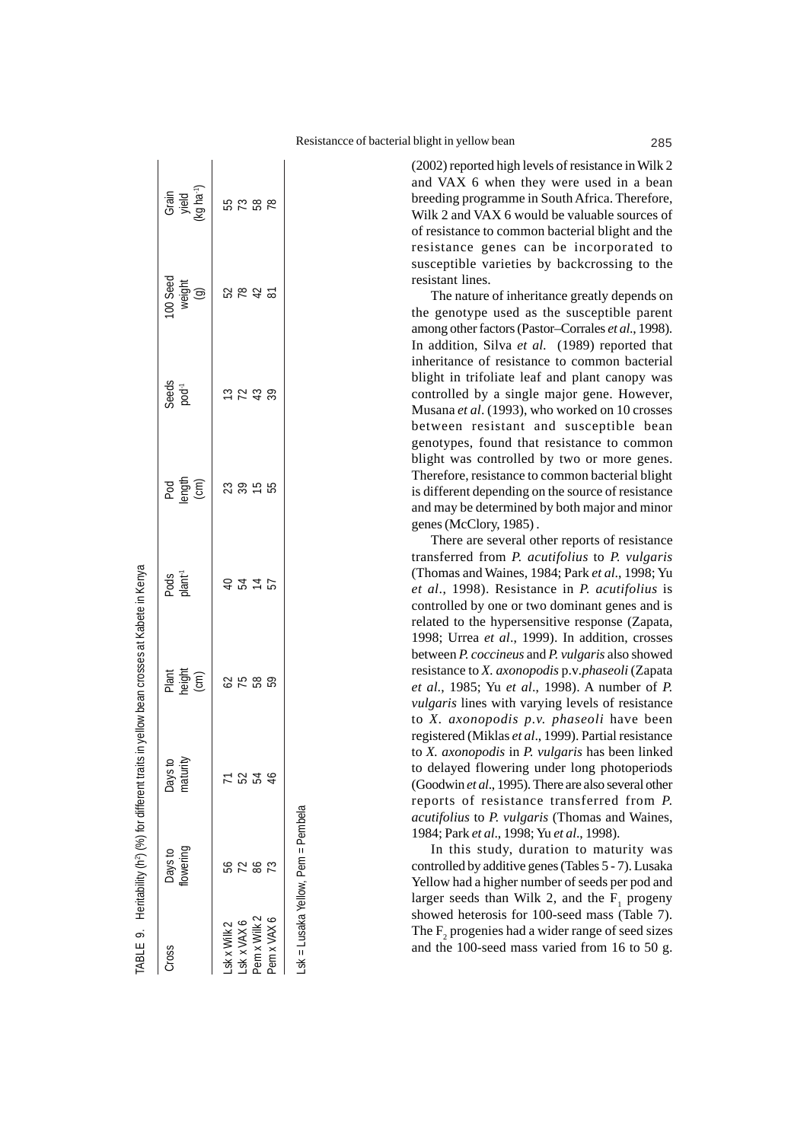Grain<br>yield<br>kg ha<sup>-1</sup>) (cm) (cm) (g) (kg ha-1) ule.UD PodSOOL SpeedS Days Days Days Days Seed Grains Dusked Dusked Grains Sacco plant, the flower pod-1 length plant-1 length pod-1 wielde pod-1 wielde pod-1 wielde pod-1 weight yielde pod-1 weight yielde pod-1 wielde pod-1 wielde pod-1 weight yn de deutste pod-1 weight yn deutste pod-1 weight yn deut 52882 Lsk x Wilk 2 56 71 62 40 23 13 52 55 Lsk x VAX 6 72 52 75 54 39 72 78 73 Pem x Wilk 2 86 54 58 14 15 43 42 58 Pem x VAX 6 73 39 46 59 59 59 59 59 59 59 59 39 39 39 39 51 81 00 Seed weight  $\widehat{\sigma}$  $78845$ Seeds<br>pod<sup>-1</sup> 5238 Pod<br>angin<br>(cm)  $3855$ Pods<br>plant<sup>-1</sup>  $9772$ Plant<br>reight<br>(cm) 3588 Days to<br>maturity 5 2 3 4<br>5 .sk = Lusaka Yellow, Pem = Pembela Lsk = Lusaka Yellow, Pem = Pembela Days to<br>Towering 5287 Pem x Wilk 2 o XAV x mac .Sk x VAX 6 sk x Wilk 2 Cross

TABLE 9. Heritability (h2) (%) for different traits in yellow bean crosses at Kabete in Kenya

rABLE 9. Heritability (h<sup>2</sup>) (%) for different traits in yellow bean crosses at Kabete in Kenya

(2002) reported high levels of resistance in Wilk 2 and VAX 6 when they were used in a bean breeding programme in South Africa. Therefore, Wilk 2 and VAX 6 would be valuable sources of of resistance to common bacterial blight and the resistance genes can be incorporated to susceptible varieties by backcrossing to the resistant lines.

The nature of inheritance greatly depends on the genotype used as the susceptible parent among other factors (Pastor–Corrales *et al*., 1998). In addition, Silva *et al.* (1989) reported that inheritance of resistance to common bacterial blight in trifoliate leaf and plant canopy was controlled by a single major gene. However, Musana *et al*. (1993), who worked on 10 crosses between resistant and susceptible bean genotypes, found that resistance to common blight was controlled by two or more genes. Therefore, resistance to common bacterial blight is different depending on the source of resistance and may be determined by both major and minor genes (McClory, 1985) .

There are several other reports of resistance transferred from *P. acutifolius* to *P. vulgaris* (Thomas and Waines, 1984; Park *et al*., 1998; Yu *et al*., 1998). Resistance in *P. acutifolius* is controlled by one or two dominant genes and is related to the hypersensitive response (Zapata, 1998; Urrea *et al*., 1999). In addition, crosses between *P. coccineus* and *P. vulgaris* also showed resistance to *X. axonopodis* p.v*.phaseoli* (Zapata *et al*., 1985; Yu *et al*., 1998). A number of *P. vulgaris* lines with varying levels of resistance to *X. axonopodis p.v. phaseoli* have been registered (Miklas *et al*., 1999). Partial resistance to *X. axonopodis* in *P. vulgaris* has been linked to delayed flowering under long photoperiods (Goodwin *et al*., 1995). There are also several other reports of resistance transferred from *P. acutifolius* to *P. vulgaris* (Thomas and Waines, 1984; Park *et al*., 1998; Yu *et al*., 1998).

In this study, duration to maturity was controlled by additive genes (Tables 5 - 7). Lusaka Yellow had a higher number of seeds per pod and larger seeds than Wilk 2, and the  $F_1$  progeny showed heterosis for 100-seed mass (Table 7). The  $F_2$  progenies had a wider range of seed sizes and the 100-seed mass varied from 16 to 50 g.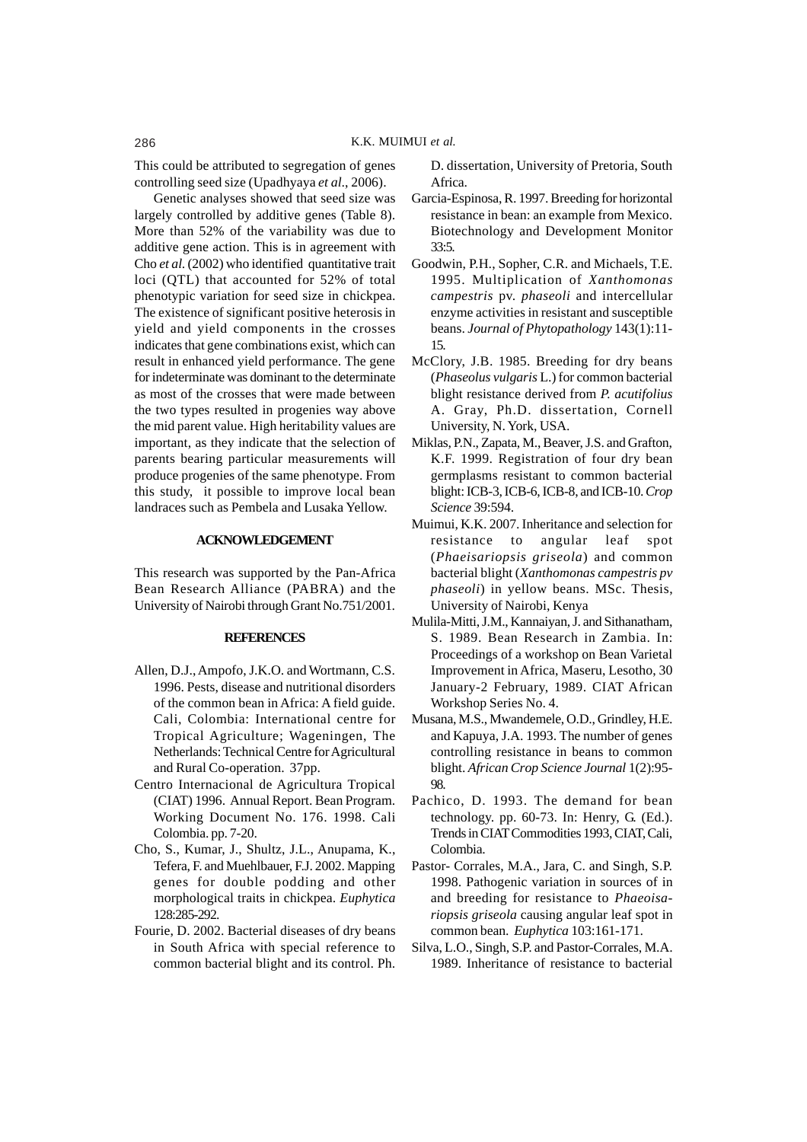This could be attributed to segregation of genes controlling seed size (Upadhyaya *et al*., 2006).

Genetic analyses showed that seed size was largely controlled by additive genes (Table 8). More than 52% of the variability was due to additive gene action. This is in agreement with Cho *et al*. (2002) who identified quantitative trait loci (QTL) that accounted for 52% of total phenotypic variation for seed size in chickpea. The existence of significant positive heterosis in yield and yield components in the crosses indicates that gene combinations exist, which can result in enhanced yield performance. The gene for indeterminate was dominant to the determinate as most of the crosses that were made between the two types resulted in progenies way above the mid parent value. High heritability values are important, as they indicate that the selection of parents bearing particular measurements will produce progenies of the same phenotype. From this study, it possible to improve local bean landraces such as Pembela and Lusaka Yellow.

## **ACKNOWLEDGEMENT**

This research was supported by the Pan-Africa Bean Research Alliance (PABRA) and the University of Nairobi through Grant No.751/2001.

#### **REFERENCES**

- Allen, D.J., Ampofo, J.K.O. and Wortmann, C.S. 1996. Pests, disease and nutritional disorders of the common bean in Africa: A field guide. Cali, Colombia: International centre for Tropical Agriculture; Wageningen, The Netherlands: Technical Centre for Agricultural and Rural Co-operation. 37pp.
- Centro Internacional de Agricultura Tropical (CIAT) 1996. Annual Report. Bean Program. Working Document No. 176. 1998. Cali Colombia. pp. 7-20.
- Cho, S., Kumar, J., Shultz, J.L., Anupama, K., Tefera, F. and Muehlbauer, F.J. 2002. Mapping genes for double podding and other morphological traits in chickpea. *Euphytica* 128:285-292.
- Fourie, D. 2002. Bacterial diseases of dry beans in South Africa with special reference to common bacterial blight and its control. Ph.

D. dissertation, University of Pretoria, South Africa.

- Garcia-Espinosa, R. 1997. Breeding for horizontal resistance in bean: an example from Mexico. Biotechnology and Development Monitor 33:5.
- Goodwin, P.H., Sopher, C.R. and Michaels, T.E. 1995. Multiplication of *Xanthomonas campestris* pv. *phaseoli* and intercellular enzyme activities in resistant and susceptible beans. *Journal of Phytopathology* 143(1):11- 15.
- McClory, J.B. 1985. Breeding for dry beans (*Phaseolus vulgaris* L.) for common bacterial blight resistance derived from *P. acutifolius* A. Gray, Ph.D. dissertation, Cornell University, N. York, USA.
- Miklas, P.N., Zapata, M., Beaver, J.S. and Grafton, K.F. 1999. Registration of four dry bean germplasms resistant to common bacterial blight: ICB-3, ICB-6, ICB-8, and ICB-10. *Crop Science* 39:594.
- Muimui, K.K. 2007. Inheritance and selection for resistance to angular leaf spot (*Phaeisariopsis griseola*) and common bacterial blight (*Xanthomonas campestris pv phaseoli*) in yellow beans. MSc. Thesis, University of Nairobi, Kenya
- Mulila-Mitti, J.M., Kannaiyan, J. and Sithanatham, S. 1989. Bean Research in Zambia. In: Proceedings of a workshop on Bean Varietal Improvement in Africa, Maseru, Lesotho, 30 January-2 February, 1989. CIAT African Workshop Series No. 4.
- Musana, M.S., Mwandemele, O.D., Grindley, H.E. and Kapuya, J.A. 1993. The number of genes controlling resistance in beans to common blight. *African Crop Science Journal* 1(2):95- 98.
- Pachico, D. 1993. The demand for bean technology. pp. 60-73. In: Henry, G. (Ed.). Trends in CIAT Commodities 1993, CIAT, Cali, Colombia.
- Pastor- Corrales, M.A., Jara, C. and Singh, S.P. 1998. Pathogenic variation in sources of in and breeding for resistance to *Phaeoisariopsis griseola* causing angular leaf spot in common bean. *Euphytica* 103:161-171.
- Silva, L.O., Singh, S.P. and Pastor-Corrales, M.A. 1989. Inheritance of resistance to bacterial